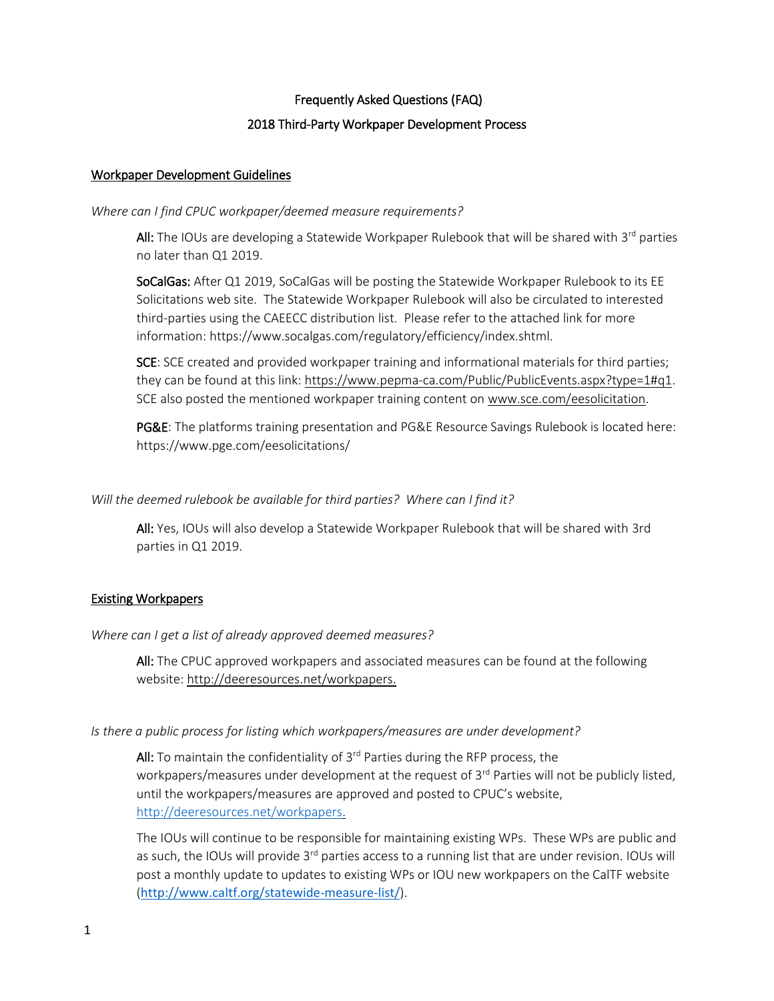# Frequently Asked Questions (FAQ) 2018 Third-Party Workpaper Development Process

# Workpaper Development Guidelines

### *Where can I find CPUC workpaper/deemed measure requirements?*

All: The IOUs are developing a Statewide Workpaper Rulebook that will be shared with 3<sup>rd</sup> parties no later than Q1 2019.

SoCalGas: After Q1 2019, SoCalGas will be posting the Statewide Workpaper Rulebook to its EE Solicitations web site. The Statewide Workpaper Rulebook will also be circulated to interested third-parties using the CAEECC distribution list. Please refer to the attached link for more information: https://www.socalgas.com/regulatory/efficiency/index.shtml.

SCE: SCE created and provided workpaper training and informational materials for third parties; they can be found at this link: [https://www.pepma-ca.com/Public/PublicEvents.aspx?type=1#q1.](https://www.pepma-ca.com/Public/PublicEvents.aspx?type=1) SCE also posted the mentioned workpaper training content on [www.sce.com/eesolicitation.](http://www.sce.com/eesolicitation)

PG&E: The platforms training presentation and PG&E Resource Savings Rulebook is located here: https://www.pge.com/eesolicitations/

*Will the deemed rulebook be available for third parties? Where can I find it?* 

All: Yes, IOUs will also develop a Statewide Workpaper Rulebook that will be shared with 3rd parties in Q1 2019.

# Existing Workpapers

*Where can I get a list of already approved deemed measures?*

All: The CPUC approved workpapers and associated measures can be found at the following website: [http://deeresources.net/workpapers.](http://deeresources.net/workpapers)

### *Is there a public process for listing which workpapers/measures are under development?*

All: To maintain the confidentiality of  $3<sup>rd</sup>$  Parties during the RFP process, the workpapers/measures under development at the request of 3<sup>rd</sup> Parties will not be publicly listed, until the workpapers/measures are approved and posted to CPUC's website, [http://deeresources.net/workpapers.](http://deeresources.net/workpapers)

The IOUs will continue to be responsible for maintaining existing WPs. These WPs are public and as such, the IOUs will provide 3<sup>rd</sup> parties access to a running list that are under revision. IOUs will post a monthly update to updates to existing WPs or IOU new workpapers on the CalTF website (<http://www.caltf.org/statewide-measure-list/>).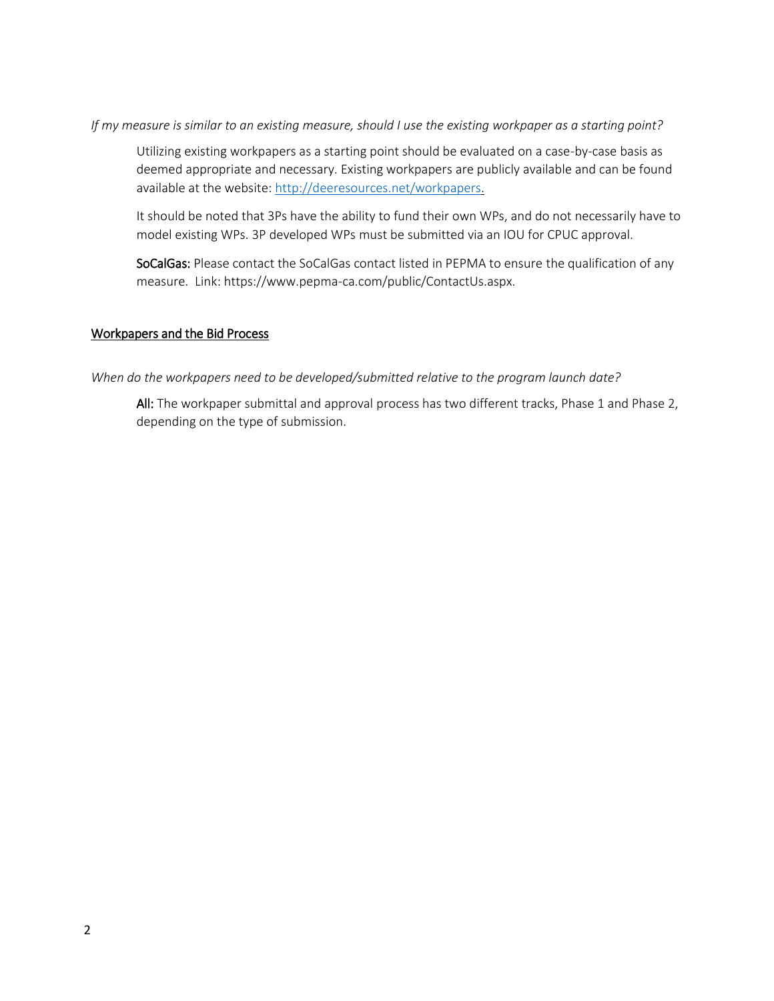*If my measure is similar to an existing measure, should I use the existing workpaper as a starting point?* 

Utilizing existing workpapers as a starting point should be evaluated on a case-by-case basis as deemed appropriate and necessary. Existing workpapers are publicly available and can be found available at the website: [http://deeresources.net/workpapers.](http://deeresources.net/workpapers)

It should be noted that 3Ps have the ability to fund their own WPs, and do not necessarily have to model existing WPs. 3P developed WPs must be submitted via an IOU for CPUC approval.

SoCalGas: Please contact the SoCalGas contact listed in PEPMA to ensure the qualification of any measure. Link: https://www.pepma-ca.com/public/ContactUs.aspx.

### Workpapers and the Bid Process

*When do the workpapers need to be developed/submitted relative to the program launch date?* 

All: The workpaper submittal and approval process has two different tracks, Phase 1 and Phase 2, depending on the type of submission.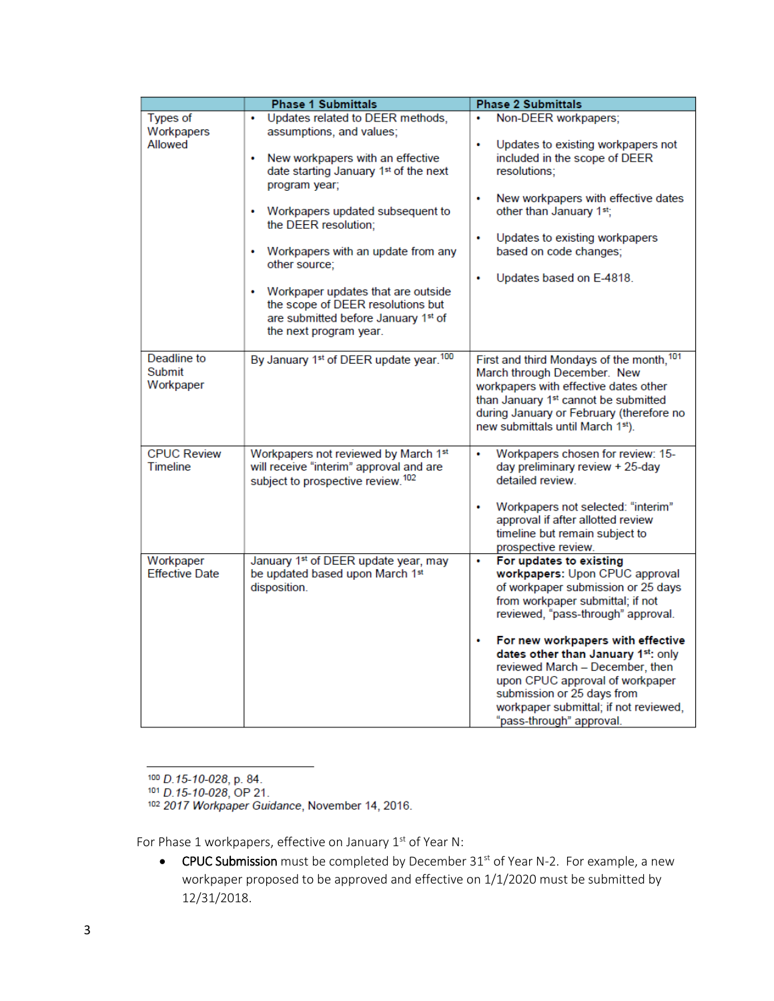|                                       | <b>Phase 1 Submittals</b>                                                                                                                                                                                                                                                                                                                                                                           | <b>Phase 2 Submittals</b>                                                                                                                                                                                                                                                                                                                                                                                                               |
|---------------------------------------|-----------------------------------------------------------------------------------------------------------------------------------------------------------------------------------------------------------------------------------------------------------------------------------------------------------------------------------------------------------------------------------------------------|-----------------------------------------------------------------------------------------------------------------------------------------------------------------------------------------------------------------------------------------------------------------------------------------------------------------------------------------------------------------------------------------------------------------------------------------|
| <b>Types of</b>                       | • Updates related to DEER methods,                                                                                                                                                                                                                                                                                                                                                                  | Non-DEER workpapers;<br>٠                                                                                                                                                                                                                                                                                                                                                                                                               |
| Workpapers<br>Allowed                 | assumptions, and values;<br>New workpapers with an effective<br>٠<br>date starting January 1st of the next<br>program year;<br>• Workpapers updated subsequent to<br>the DEER resolution;<br>• Workpapers with an update from any<br>other source;<br>Workpaper updates that are outside<br>٠<br>the scope of DEER resolutions but<br>are submitted before January 1st of<br>the next program year. | Updates to existing workpapers not<br>٠<br>included in the scope of DEER<br>resolutions:<br>New workpapers with effective dates<br>٠<br>other than January 1st;<br>٠<br>Updates to existing workpapers<br>based on code changes;<br>Updates based on E-4818.<br>۰                                                                                                                                                                       |
| Deadline to<br>Submit<br>Workpaper    | By January 1 <sup>st</sup> of DEER update year. <sup>100</sup>                                                                                                                                                                                                                                                                                                                                      | First and third Mondays of the month, 101<br>March through December. New<br>workpapers with effective dates other<br>than January 1st cannot be submitted<br>during January or February (therefore no<br>new submittals until March 1st).                                                                                                                                                                                               |
| <b>CPUC Review</b><br><b>Timeline</b> | Workpapers not reviewed by March 1st<br>will receive "interim" approval and are<br>subject to prospective review. <sup>102</sup>                                                                                                                                                                                                                                                                    | Workpapers chosen for review: 15-<br>٠<br>day preliminary review + 25-day<br>detailed review<br>Workpapers not selected: "interim"<br>۰<br>approval if after allotted review<br>timeline but remain subject to<br>prospective review.                                                                                                                                                                                                   |
| Workpaper<br><b>Effective Date</b>    | January 1 <sup>st</sup> of DEER update year, may<br>be updated based upon March 1st<br>disposition.                                                                                                                                                                                                                                                                                                 | For updates to existing<br>۰<br>workpapers: Upon CPUC approval<br>of workpaper submission or 25 days<br>from workpaper submittal; if not<br>reviewed, "pass-through" approval.<br>For new workpapers with effective<br>٠<br>dates other than January 1st: only<br>reviewed March - December, then<br>upon CPUC approval of workpaper<br>submission or 25 days from<br>workpaper submittal; if not reviewed,<br>"pass-through" approval. |

100 D.15-10-028, p. 84.

101 D.15-10-028, OP 21.

102 2017 Workpaper Guidance, November 14, 2016.

For Phase 1 workpapers, effective on January 1st of Year N:

• CPUC Submission must be completed by December 31<sup>st</sup> of Year N-2. For example, a new workpaper proposed to be approved and effective on 1/1/2020 must be submitted by 12/31/2018.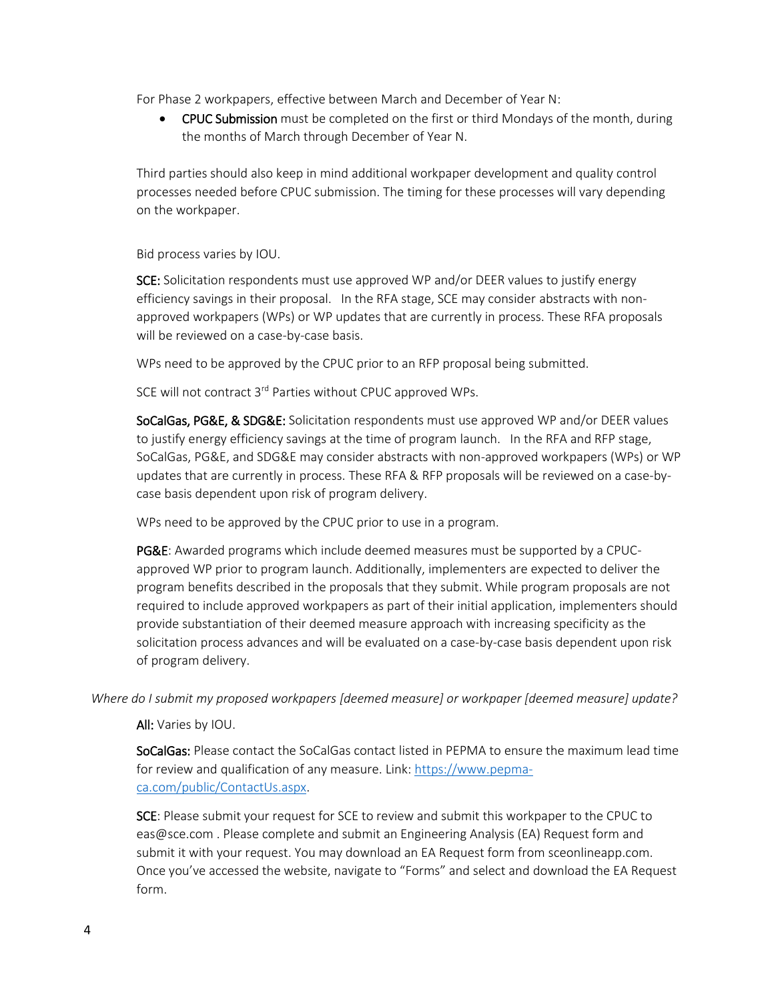For Phase 2 workpapers, effective between March and December of Year N:

• CPUC Submission must be completed on the first or third Mondays of the month, during the months of March through December of Year N.

Third parties should also keep in mind additional workpaper development and quality control processes needed before CPUC submission. The timing for these processes will vary depending on the workpaper.

Bid process varies by IOU.

SCE: Solicitation respondents must use approved WP and/or DEER values to justify energy efficiency savings in their proposal. In the RFA stage, SCE may consider abstracts with nonapproved workpapers (WPs) or WP updates that are currently in process. These RFA proposals will be reviewed on a case-by-case basis.

WPs need to be approved by the CPUC prior to an RFP proposal being submitted.

SCE will not contract 3<sup>rd</sup> Parties without CPUC approved WPs.

SoCalGas, PG&E, & SDG&E: Solicitation respondents must use approved WP and/or DEER values to justify energy efficiency savings at the time of program launch. In the RFA and RFP stage, SoCalGas, PG&E, and SDG&E may consider abstracts with non-approved workpapers (WPs) or WP updates that are currently in process. These RFA & RFP proposals will be reviewed on a case-bycase basis dependent upon risk of program delivery.

WPs need to be approved by the CPUC prior to use in a program.

PG&E: Awarded programs which include deemed measures must be supported by a CPUCapproved WP prior to program launch. Additionally, implementers are expected to deliver the program benefits described in the proposals that they submit. While program proposals are not required to include approved workpapers as part of their initial application, implementers should provide substantiation of their deemed measure approach with increasing specificity as the solicitation process advances and will be evaluated on a case-by-case basis dependent upon risk of program delivery.

*Where do I submit my proposed workpapers [deemed measure] or workpaper [deemed measure] update?* 

All: Varies by IOU.

SoCalGas: Please contact the SoCalGas contact listed in PEPMA to ensure the maximum lead time for review and qualification of any measure. Link: [https://www.pepma](https://www.pepma-ca.com/public/ContactUs.aspx)[ca.com/public/ContactUs.aspx.](https://www.pepma-ca.com/public/ContactUs.aspx)

SCE: Please submit your request for SCE to review and submit this workpaper to the CPUC to eas@sce.com . Please complete and submit an Engineering Analysis (EA) Request form and submit it with your request. You may download an EA Request form from sceonlineapp.com. Once you've accessed the website, navigate to "Forms" and select and download the EA Request form.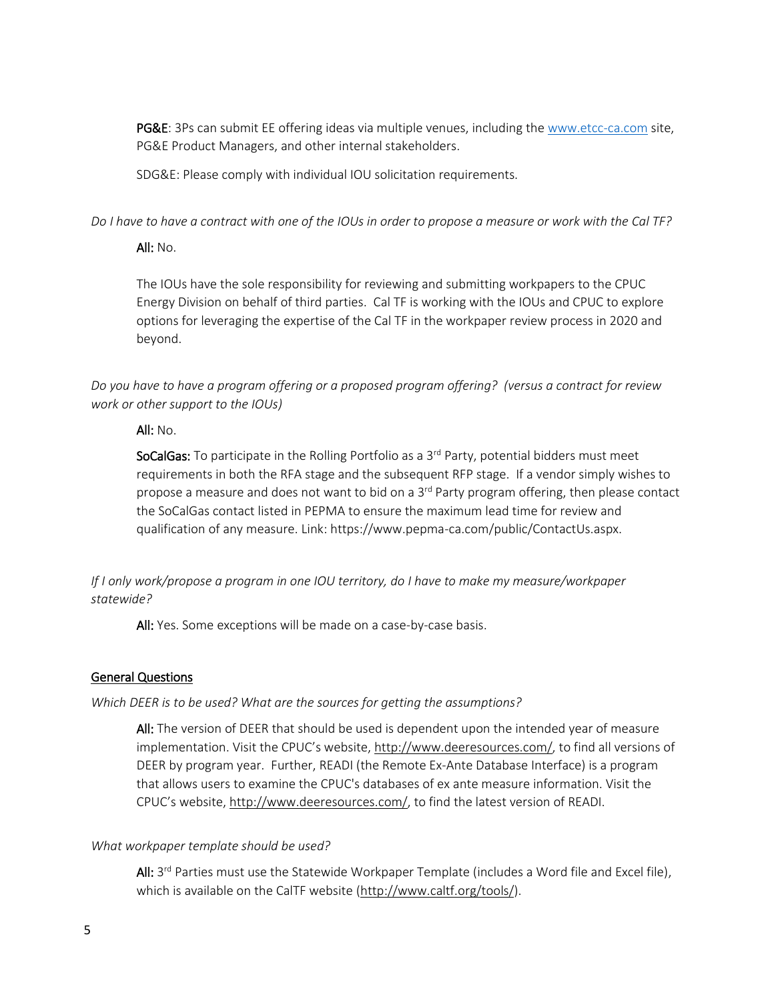PG&E: 3Ps can submit EE offering ideas via multiple venues, including the www.etcc-ca.com site, PG&E Product Managers, and other internal stakeholders.

SDG&E: Please comply with individual IOU solicitation requirements.

*Do I have to have a contract with one of the IOUs in order to propose a measure or work with the Cal TF?* 

#### All:  $No.$

The IOUs have the sole responsibility for reviewing and submitting workpapers to the CPUC Energy Division on behalf of third parties. Cal TF is working with the IOUs and CPUC to explore options for leveraging the expertise of the Cal TF in the workpaper review process in 2020 and beyond.

*Do you have to have a program offering or a proposed program offering? (versus a contract for review work or other support to the IOUs)*

### All: No.

SoCalGas: To participate in the Rolling Portfolio as a  $3<sup>rd</sup>$  Party, potential bidders must meet requirements in both the RFA stage and the subsequent RFP stage. If a vendor simply wishes to propose a measure and does not want to bid on a 3<sup>rd</sup> Party program offering, then please contact the SoCalGas contact listed in PEPMA to ensure the maximum lead time for review and qualification of any measure. Link: https://www.pepma-ca.com/public/ContactUs.aspx.

*If I only work/propose a program in one IOU territory, do I have to make my measure/workpaper statewide?* 

All: Yes. Some exceptions will be made on a case-by-case basis.

### General Questions

### *Which DEER is to be used? What are the sources for getting the assumptions?*

All: The version of DEER that should be used is dependent upon the intended year of measure implementation. Visit the CPUC's website, [http://www.deeresources.com/,](http://www.deeresources.com/) to find all versions of DEER by program year. Further, READI (the Remote Ex-Ante Database Interface) is a program that allows users to examine the CPUC's databases of ex ante measure information. Visit the CPUC's website, [http://www.deeresources.com/,](http://www.deeresources.com/) to find the latest version of READI.

### *What workpaper template should be used?*

All: 3<sup>rd</sup> Parties must use the Statewide Workpaper Template (includes a Word file and Excel file), which is available on the CalTF website [\(http://www.caltf.org/tools/\)](http://www.caltf.org/tools/).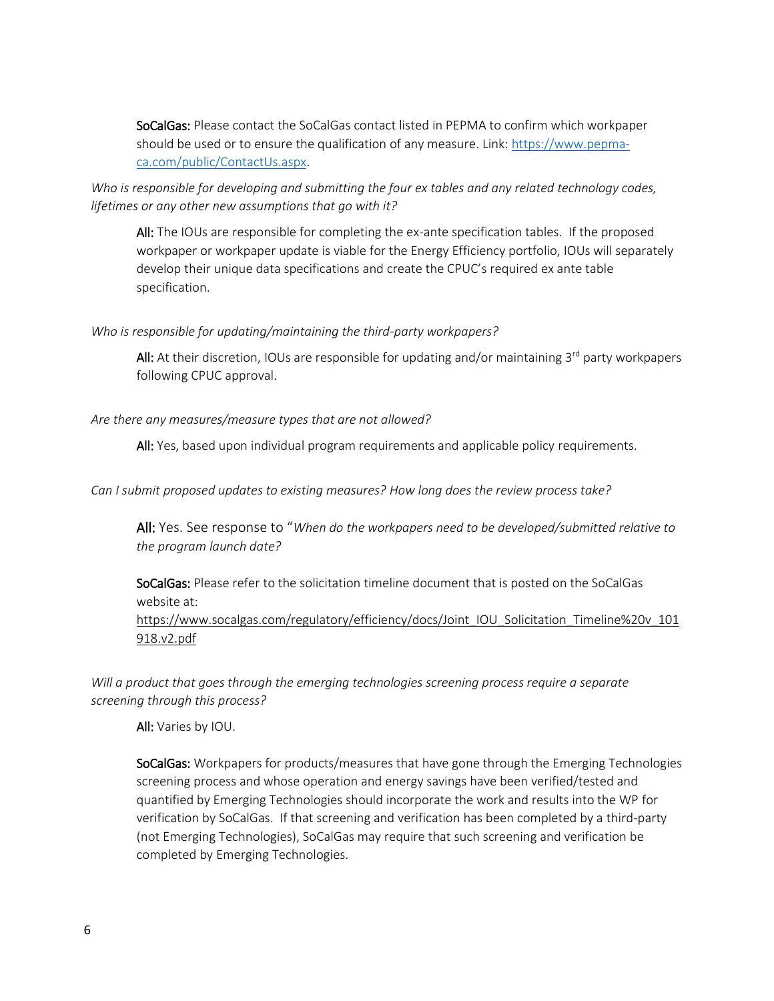SoCalGas: Please contact the SoCalGas contact listed in PEPMA to confirm which workpaper should be used or to ensure the qualification of any measure. Link[: https://www.pepma](https://www.pepma-ca.com/public/ContactUs.aspx)[ca.com/public/ContactUs.aspx.](https://www.pepma-ca.com/public/ContactUs.aspx)

*Who is responsible for developing and submitting the four ex tables and any related technology codes, lifetimes or any other new assumptions that go with it?*

All: The IOUs are responsible for completing the ex-ante specification tables. If the proposed workpaper or workpaper update is viable for the Energy Efficiency portfolio, IOUs will separately develop their unique data specifications and create the CPUC's required ex ante table specification.

*Who is responsible for updating/maintaining the third-party workpapers?*

All: At their discretion, IOUs are responsible for updating and/or maintaining 3<sup>rd</sup> party workpapers following CPUC approval.

*Are there any measures/measure types that are not allowed?*

All: Yes, based upon individual program requirements and applicable policy requirements.

*Can I submit proposed updates to existing measures? How long does the review process take?* 

All: Yes. See response to "*When do the workpapers need to be developed/submitted relative to the program launch date?* 

SoCalGas: Please refer to the solicitation timeline document that is posted on the SoCalGas website at:

[https://www.socalgas.com/regulatory/efficiency/docs/Joint\\_IOU\\_Solicitation\\_Timeline%20v\\_101](https://www.socalgas.com/regulatory/efficiency/docs/Joint_IOU_Solicitation_Timeline%20v_101918.v2.pdf) [918.v2.pdf](https://www.socalgas.com/regulatory/efficiency/docs/Joint_IOU_Solicitation_Timeline%20v_101918.v2.pdf)

*Will a product that goes through the emerging technologies screening process require a separate screening through this process?* 

All: Varies by IOU.

SoCalGas: Workpapers for products/measures that have gone through the Emerging Technologies screening process and whose operation and energy savings have been verified/tested and quantified by Emerging Technologies should incorporate the work and results into the WP for verification by SoCalGas. If that screening and verification has been completed by a third-party (not Emerging Technologies), SoCalGas may require that such screening and verification be completed by Emerging Technologies.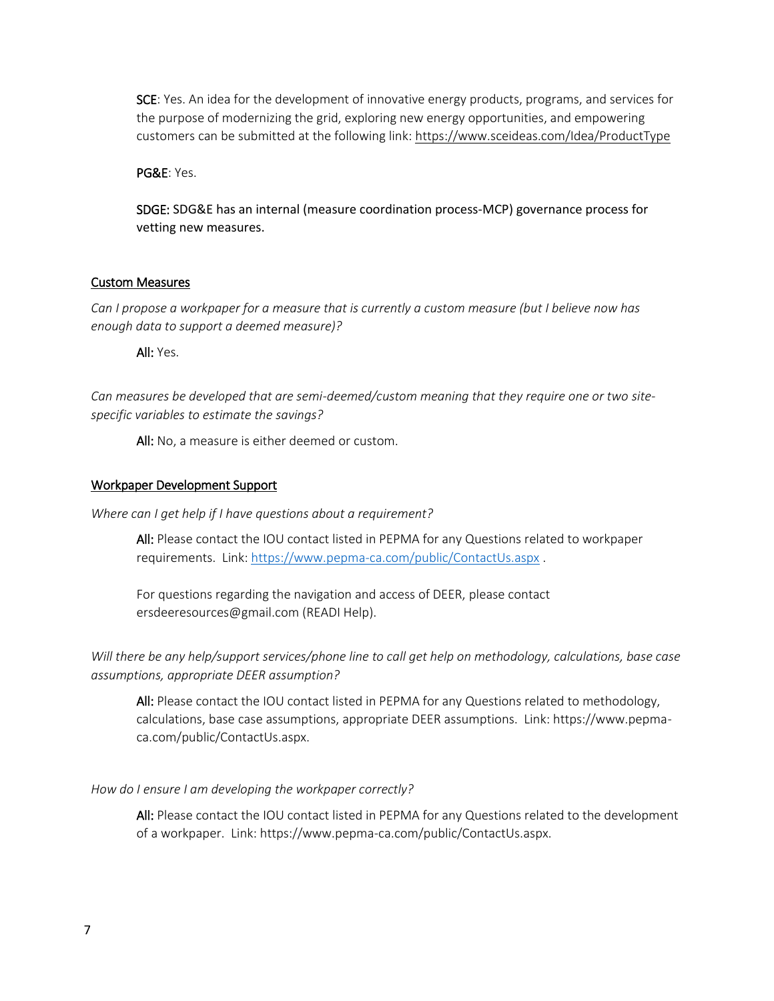SCE: Yes. An idea for the development of innovative energy products, programs, and services for the purpose of modernizing the grid, exploring new energy opportunities, and empowering customers can be submitted at the following link[: https://www.sceideas.com/Idea/ProductType](https://www.sceideas.com/Idea/ProductType)

PG&E: Yes.

SDGE: SDG&E has an internal (measure coordination process-MCP) governance process for vetting new measures.

### Custom Measures

*Can I propose a workpaper for a measure that is currently a custom measure (but I believe now has enough data to support a deemed measure)?* 

All: Yes.

*Can measures be developed that are semi-deemed/custom meaning that they require one or two sitespecific variables to estimate the savings?*

All: No, a measure is either deemed or custom.

#### Workpaper Development Support

*Where can I get help if I have questions about a requirement?*

All: Please contact the IOU contact listed in PEPMA for any Questions related to workpaper requirements. Link[: https://www.pepma-ca.com/public/ContactUs.aspx](https://www.pepma-ca.com/public/ContactUs.aspx) .

For questions regarding the navigation and access of DEER, please contact ersdeeresources@gmail.com (READI Help).

*Will there be any help/support services/phone line to call get help on methodology, calculations, base case assumptions, appropriate DEER assumption?* 

All: Please contact the IOU contact listed in PEPMA for any Questions related to methodology, calculations, base case assumptions, appropriate DEER assumptions. Link: https://www.pepmaca.com/public/ContactUs.aspx.

#### *How do I ensure I am developing the workpaper correctly?*

All: Please contact the IOU contact listed in PEPMA for any Questions related to the development of a workpaper. Link: https://www.pepma-ca.com/public/ContactUs.aspx.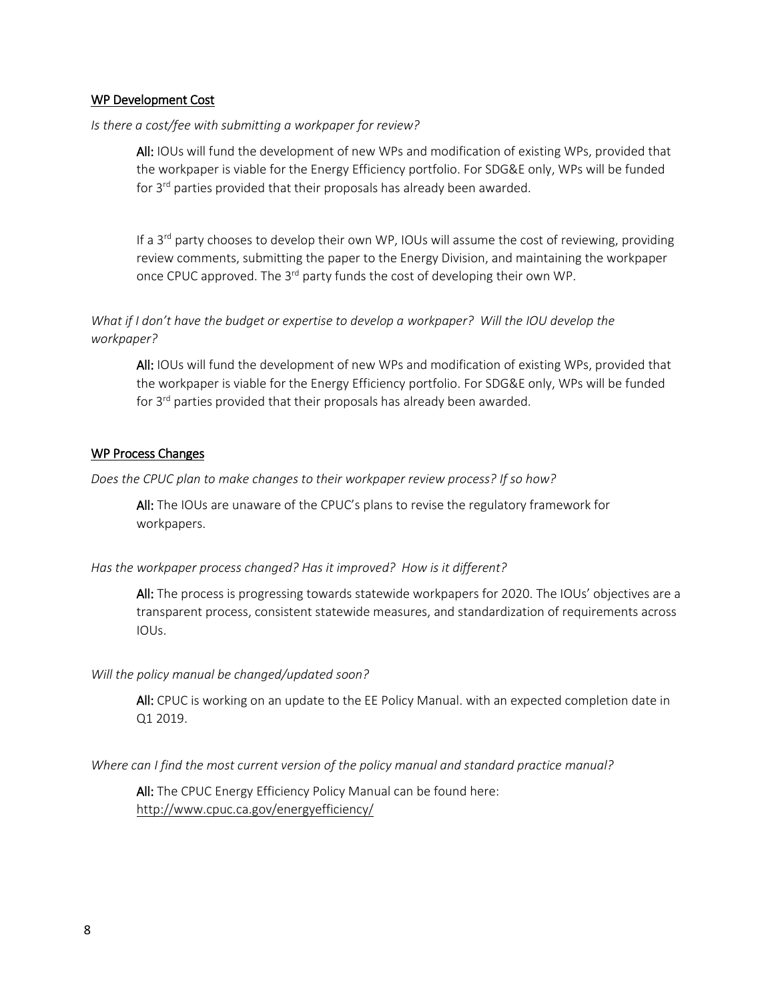#### WP Development Cost

#### *Is there a cost/fee with submitting a workpaper for review?*

All: IOUs will fund the development of new WPs and modification of existing WPs, provided that the workpaper is viable for the Energy Efficiency portfolio. For SDG&E only, WPs will be funded for 3<sup>rd</sup> parties provided that their proposals has already been awarded.

If a  $3<sup>rd</sup>$  party chooses to develop their own WP, IOUs will assume the cost of reviewing, providing review comments, submitting the paper to the Energy Division, and maintaining the workpaper once CPUC approved. The 3<sup>rd</sup> party funds the cost of developing their own WP.

*What if I don't have the budget or expertise to develop a workpaper? Will the IOU develop the workpaper?*

All: IOUs will fund the development of new WPs and modification of existing WPs, provided that the workpaper is viable for the Energy Efficiency portfolio. For SDG&E only, WPs will be funded for 3<sup>rd</sup> parties provided that their proposals has already been awarded.

#### WP Process Changes

*Does the CPUC plan to make changes to their workpaper review process? If so how?*

All: The IOUs are unaware of the CPUC's plans to revise the regulatory framework for workpapers.

#### *Has the workpaper process changed? Has it improved? How is it different?*

All: The process is progressing towards statewide workpapers for 2020. The IOUs' objectives are a transparent process, consistent statewide measures, and standardization of requirements across IOUs.

#### *Will the policy manual be changed/updated soon?*

All: CPUC is working on an update to the EE Policy Manual. with an expected completion date in Q1 2019.

*Where can I find the most current version of the policy manual and standard practice manual?*

All: The CPUC Energy Efficiency Policy Manual can be found here: <http://www.cpuc.ca.gov/energyefficiency/>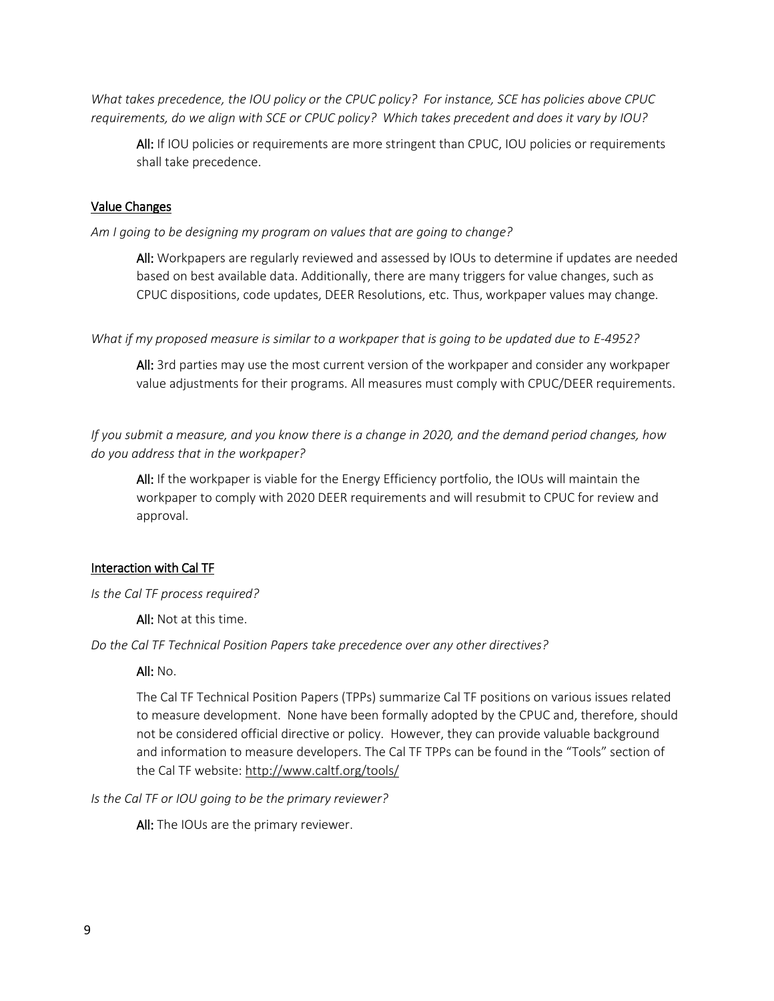*What takes precedence, the IOU policy or the CPUC policy? For instance, SCE has policies above CPUC requirements, do we align with SCE or CPUC policy? Which takes precedent and does it vary by IOU?*

All: If IOU policies or requirements are more stringent than CPUC, IOU policies or requirements shall take precedence.

#### Value Changes

*Am I going to be designing my program on values that are going to change?*

All: Workpapers are regularly reviewed and assessed by IOUs to determine if updates are needed based on best available data. Additionally, there are many triggers for value changes, such as CPUC dispositions, code updates, DEER Resolutions, etc. Thus, workpaper values may change.

*What if my proposed measure is similar to a workpaper that is going to be updated due to E-4952?*

All: 3rd parties may use the most current version of the workpaper and consider any workpaper value adjustments for their programs. All measures must comply with CPUC/DEER requirements.

*If you submit a measure, and you know there is a change in 2020, and the demand period changes, how do you address that in the workpaper?* 

All: If the workpaper is viable for the Energy Efficiency portfolio, the IOUs will maintain the workpaper to comply with 2020 DEER requirements and will resubmit to CPUC for review and approval.

#### Interaction with Cal TF

*Is the Cal TF process required?*

All: Not at this time.

*Do the Cal TF Technical Position Papers take precedence over any other directives?* 

#### All:  $No.$

The Cal TF Technical Position Papers (TPPs) summarize Cal TF positions on various issues related to measure development. None have been formally adopted by the CPUC and, therefore, should not be considered official directive or policy. However, they can provide valuable background and information to measure developers. The Cal TF TPPs can be found in the "Tools" section of the Cal TF website:<http://www.caltf.org/tools/>

*Is the Cal TF or IOU going to be the primary reviewer?*

All: The IOUs are the primary reviewer.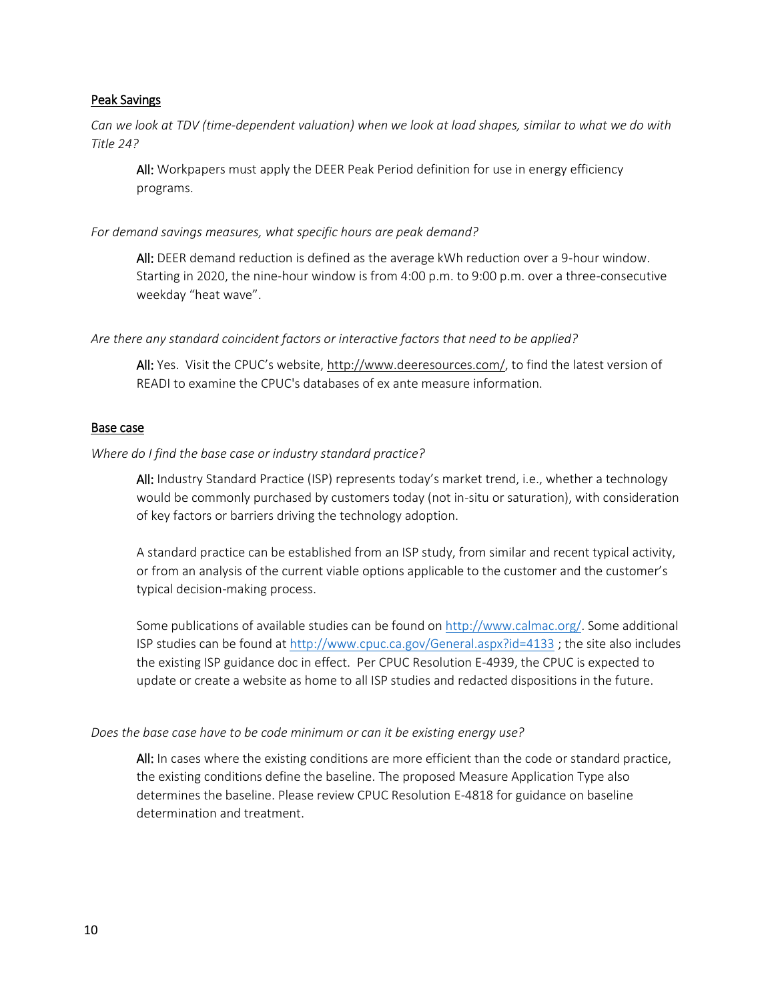### Peak Savings

*Can we look at TDV (time-dependent valuation) when we look at load shapes, similar to what we do with Title 24?* 

All: Workpapers must apply the DEER Peak Period definition for use in energy efficiency programs.

*For demand savings measures, what specific hours are peak demand?* 

All: DEER demand reduction is defined as the average kWh reduction over a 9-hour window. Starting in 2020, the nine-hour window is from 4:00 p.m. to 9:00 p.m. over a three-consecutive weekday "heat wave".

*Are there any standard coincident factors or interactive factors that need to be applied?* 

All: Yes. Visit the CPUC's website, [http://www.deeresources.com/,](http://www.deeresources.com/) to find the latest version of READI to examine the CPUC's databases of ex ante measure information.

### Base case

*Where do I find the base case or industry standard practice?*

All: Industry Standard Practice (ISP) represents today's market trend, i.e., whether a technology would be commonly purchased by customers today (not in-situ or saturation), with consideration of key factors or barriers driving the technology adoption.

A standard practice can be established from an ISP study, from similar and recent typical activity, or from an analysis of the current viable options applicable to the customer and the customer's typical decision-making process.

Some publications of available studies can be found o[n http://www.calmac.org/.](http://www.calmac.org/) Some additional ISP studies can be found at<http://www.cpuc.ca.gov/General.aspx?id=4133> ; the site also includes the existing ISP guidance doc in effect. Per CPUC Resolution E-4939, the CPUC is expected to update or create a website as home to all ISP studies and redacted dispositions in the future.

# *Does the base case have to be code minimum or can it be existing energy use?*

All: In cases where the existing conditions are more efficient than the code or standard practice, the existing conditions define the baseline. The proposed Measure Application Type also determines the baseline. Please review CPUC Resolution E-4818 for guidance on baseline determination and treatment.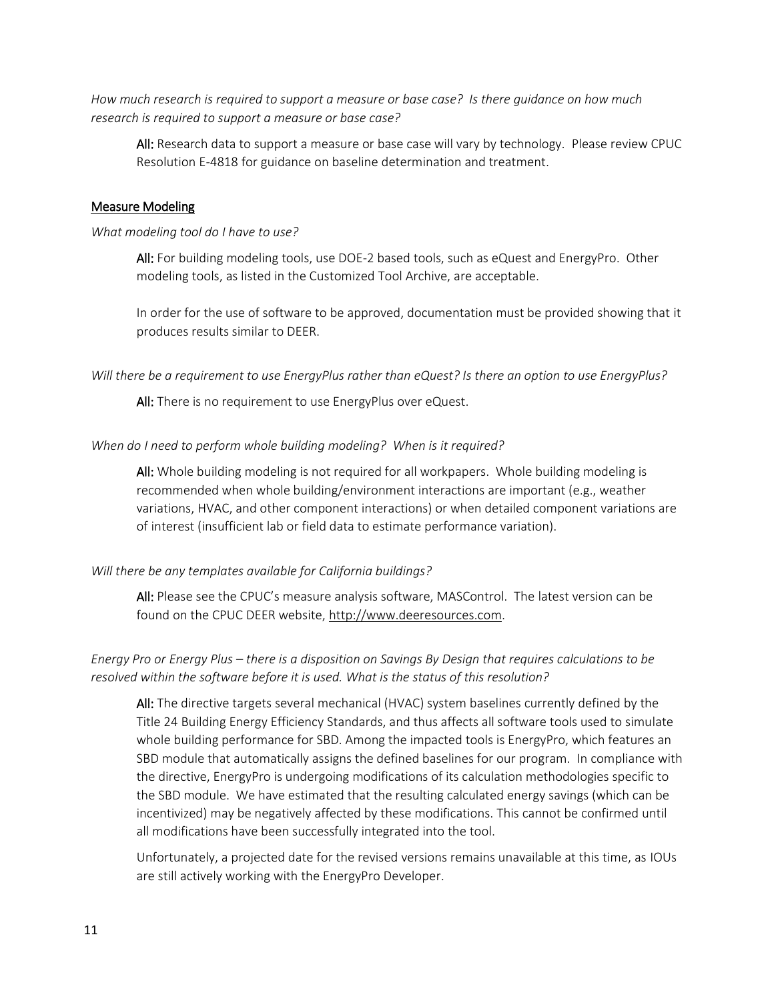*How much research is required to support a measure or base case? Is there guidance on how much research is required to support a measure or base case?*

All: Research data to support a measure or base case will vary by technology. Please review CPUC Resolution E-4818 for guidance on baseline determination and treatment.

#### Measure Modeling

#### *What modeling tool do I have to use?*

All: For building modeling tools, use DOE-2 based tools, such as eQuest and EnergyPro. Other modeling tools, as listed in the Customized Tool Archive, are acceptable.

In order for the use of software to be approved, documentation must be provided showing that it produces results similar to DEER.

*Will there be a requirement to use EnergyPlus rather than eQuest? Is there an option to use EnergyPlus?*

All: There is no requirement to use EnergyPlus over eQuest.

#### *When do I need to perform whole building modeling? When is it required?*

All: Whole building modeling is not required for all workpapers. Whole building modeling is recommended when whole building/environment interactions are important (e.g., weather variations, HVAC, and other component interactions) or when detailed component variations are of interest (insufficient lab or field data to estimate performance variation).

#### *Will there be any templates available for California buildings?*

All: Please see the CPUC's measure analysis software, MASControl. The latest version can be found on the CPUC DEER website, [http://www.deeresources.com.](http://www.deeresources.com/)

# *Energy Pro or Energy Plus – there is a disposition on Savings By Design that requires calculations to be resolved within the software before it is used. What is the status of this resolution?*

All: The directive targets several mechanical (HVAC) system baselines currently defined by the Title 24 Building Energy Efficiency Standards, and thus affects all software tools used to simulate whole building performance for SBD. Among the impacted tools is EnergyPro, which features an SBD module that automatically assigns the defined baselines for our program. In compliance with the directive, EnergyPro is undergoing modifications of its calculation methodologies specific to the SBD module. We have estimated that the resulting calculated energy savings (which can be incentivized) may be negatively affected by these modifications. This cannot be confirmed until all modifications have been successfully integrated into the tool.

Unfortunately, a projected date for the revised versions remains unavailable at this time, as IOUs are still actively working with the EnergyPro Developer.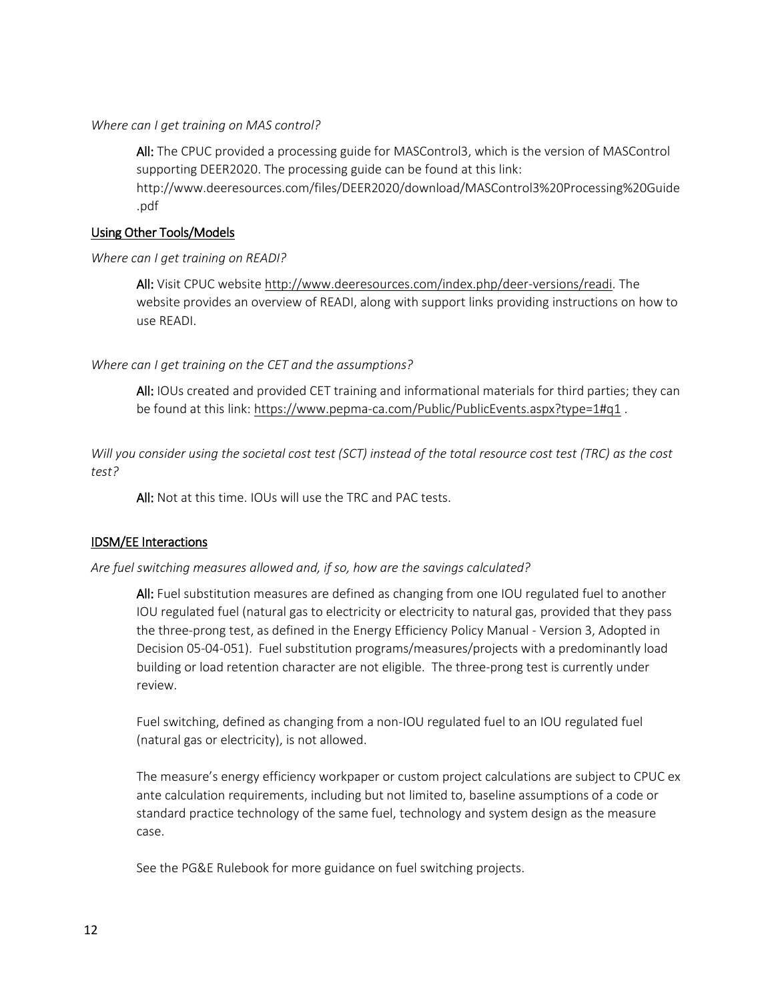#### *Where can I get training on MAS control?*

All: The CPUC provided a processing guide for MASControl3, which is the version of MASControl supporting DEER2020. The processing guide can be found at this link:

http://www.deeresources.com/files/DEER2020/download/MASControl3%20Processing%20Guide .pdf

#### Using Other Tools/Models

### *Where can I get training on READI?*

All: Visit CPUC websit[e http://www.deeresources.com/index.php/deer-versions/readi.](http://www.deeresources.com/index.php/deer-versions/readi) The website provides an overview of READI, along with support links providing instructions on how to use READI.

### *Where can I get training on the CET and the assumptions?*

All: IOUs created and provided CET training and informational materials for third parties; they can be found at this link:<https://www.pepma-ca.com/Public/PublicEvents.aspx?type=1#q1>.

*Will you consider using the societal cost test (SCT) instead of the total resource cost test (TRC) as the cost test?*

All: Not at this time. IOUs will use the TRC and PAC tests.

### IDSM/EE Interactions

### *Are fuel switching measures allowed and, if so, how are the savings calculated?*

All: Fuel substitution measures are defined as changing from one IOU regulated fuel to another IOU regulated fuel (natural gas to electricity or electricity to natural gas, provided that they pass the three-prong test, as defined in the Energy Efficiency Policy Manual - Version 3, Adopted in Decision 05-04-051). Fuel substitution programs/measures/projects with a predominantly load building or load retention character are not eligible. The three-prong test is currently under review.

Fuel switching, defined as changing from a non-IOU regulated fuel to an IOU regulated fuel (natural gas or electricity), is not allowed.

The measure's energy efficiency workpaper or custom project calculations are subject to CPUC ex ante calculation requirements, including but not limited to, baseline assumptions of a code or standard practice technology of the same fuel, technology and system design as the measure case.

See the PG&E Rulebook for more guidance on fuel switching projects.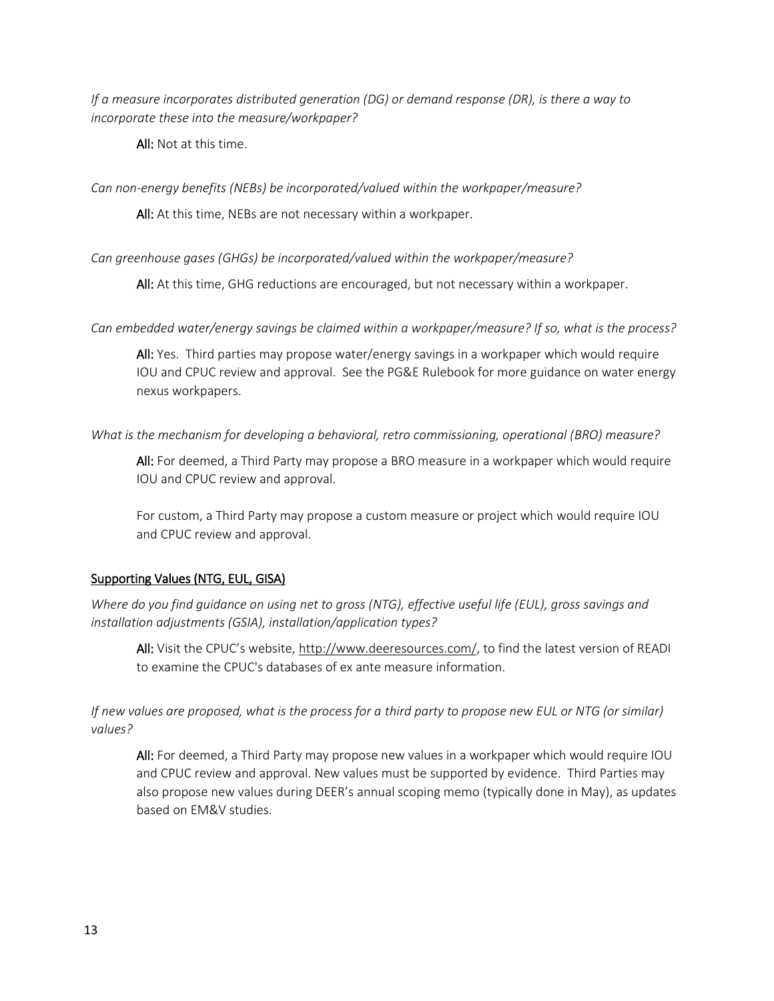*If a measure incorporates distributed generation (DG) or demand response (DR), is there a way to incorporate these into the measure/workpaper?* 

All: Not at this time.

*Can non-energy benefits (NEBs) be incorporated/valued within the workpaper/measure?*

All: At this time, NEBs are not necessary within a workpaper.

*Can greenhouse gases (GHGs) be incorporated/valued within the workpaper/measure?*

All: At this time, GHG reductions are encouraged, but not necessary within a workpaper.

*Can embedded water/energy savings be claimed within a workpaper/measure? If so, what is the process?*

All: Yes. Third parties may propose water/energy savings in a workpaper which would require IOU and CPUC review and approval. See the PG&E Rulebook for more guidance on water energy nexus workpapers.

# *What is the mechanism for developing a behavioral, retro commissioning, operational (BRO) measure?*

All: For deemed, a Third Party may propose a BRO measure in a workpaper which would require IOU and CPUC review and approval.

For custom, a Third Party may propose a custom measure or project which would require IOU and CPUC review and approval.

# Supporting Values (NTG, EUL, GISA)

*Where do you find guidance on using net to gross (NTG), effective useful life (EUL), gross savings and installation adjustments (GSIA), installation/application types?*

All: Visit the CPUC's website, [http://www.deeresources.com/,](http://www.deeresources.com/) to find the latest version of READI to examine the CPUC's databases of ex ante measure information.

*If new values are proposed, what is the process for a third party to propose new EUL or NTG (or similar) values?* 

All: For deemed, a Third Party may propose new values in a workpaper which would require IOU and CPUC review and approval. New values must be supported by evidence. Third Parties may also propose new values during DEER's annual scoping memo (typically done in May), as updates based on EM&V studies.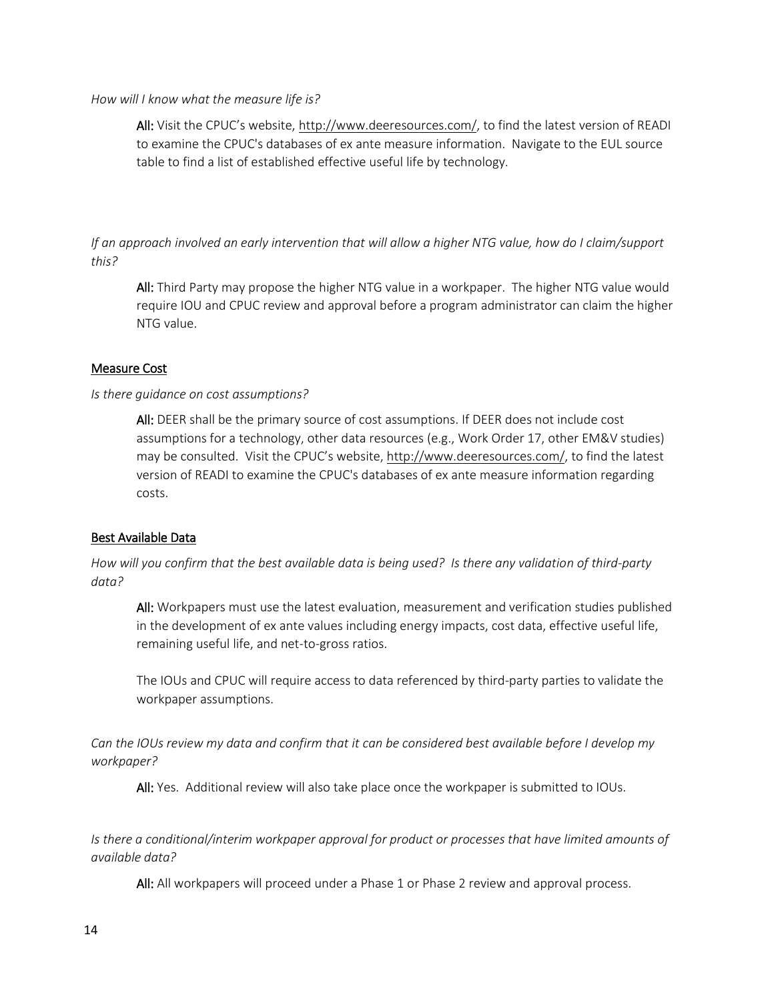#### *How will I know what the measure life is?*

All: Visit the CPUC's website, [http://www.deeresources.com/,](http://www.deeresources.com/) to find the latest version of READI to examine the CPUC's databases of ex ante measure information. Navigate to the EUL source table to find a list of established effective useful life by technology.

*If an approach involved an early intervention that will allow a higher NTG value, how do I claim/support this?* 

All: Third Party may propose the higher NTG value in a workpaper. The higher NTG value would require IOU and CPUC review and approval before a program administrator can claim the higher NTG value.

# Measure Cost

# *Is there guidance on cost assumptions?*

All: DEER shall be the primary source of cost assumptions. If DEER does not include cost assumptions for a technology, other data resources (e.g., Work Order 17, other EM&V studies) may be consulted. Visit the CPUC's website, [http://www.deeresources.com/,](http://www.deeresources.com/) to find the latest version of READI to examine the CPUC's databases of ex ante measure information regarding costs.

# Best Available Data

*How will you confirm that the best available data is being used? Is there any validation of third-party data?* 

All: Workpapers must use the latest evaluation, measurement and verification studies published in the development of ex ante values including energy impacts, cost data, effective useful life, remaining useful life, and net-to-gross ratios.

The IOUs and CPUC will require access to data referenced by third-party parties to validate the workpaper assumptions.

*Can the IOUs review my data and confirm that it can be considered best available before I develop my workpaper?*

All: Yes. Additional review will also take place once the workpaper is submitted to IOUs.

*Is there a conditional/interim workpaper approval for product or processes that have limited amounts of available data?* 

All: All workpapers will proceed under a Phase 1 or Phase 2 review and approval process.